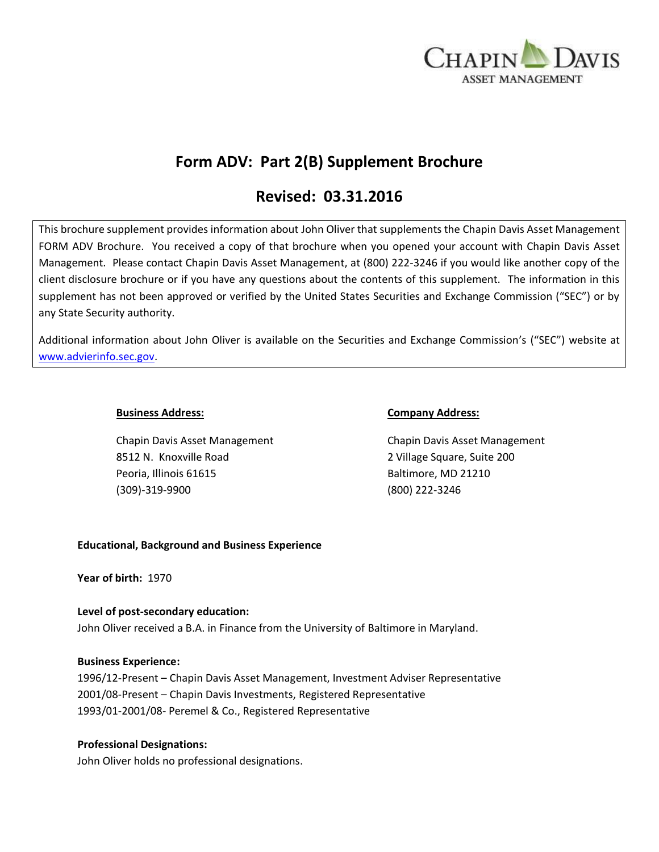

# **Form ADV: Part 2(B) Supplement Brochure**

# **Revised: 03.31.2016**

This brochure supplement provides information about John Oliver that supplements the Chapin Davis Asset Management FORM ADV Brochure. You received a copy of that brochure when you opened your account with Chapin Davis Asset Management. Please contact Chapin Davis Asset Management, at (800) 222-3246 if you would like another copy of the client disclosure brochure or if you have any questions about the contents of this supplement. The information in this supplement has not been approved or verified by the United States Securities and Exchange Commission ("SEC") or by any State Security authority.

Additional information about John Oliver is available on the Securities and Exchange Commission's ("SEC") website at [www.advierinfo.sec.gov.](http://www.advierinfo.sec.gov/)

8512 N. Knoxville Road 2 Village Square, Suite 200 Peoria, Illinois 61615 Baltimore, MD 21210 (309)-319-9900 (800) 222-3246

#### **Business Address: Company Address:**

Chapin Davis Asset Management Chapin Davis Asset Management

## **Educational, Background and Business Experience**

**Year of birth:** 1970

# **Level of post-secondary education:**

John Oliver received a B.A. in Finance from the University of Baltimore in Maryland.

## **Business Experience:**

1996/12-Present – Chapin Davis Asset Management, Investment Adviser Representative 2001/08-Present – Chapin Davis Investments, Registered Representative 1993/01-2001/08- Peremel & Co., Registered Representative

## **Professional Designations:**

John Oliver holds no professional designations.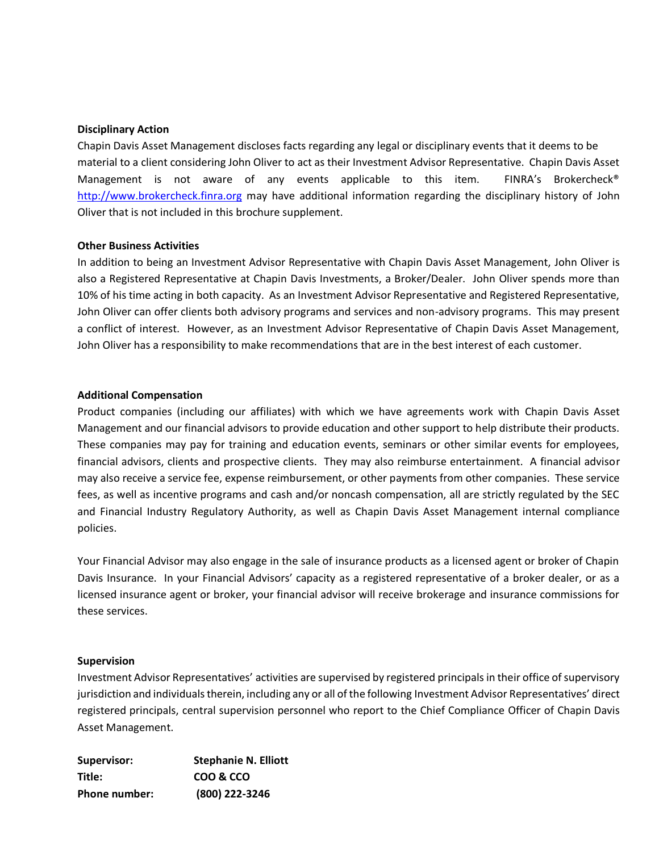#### **Disciplinary Action**

Chapin Davis Asset Management discloses facts regarding any legal or disciplinary events that it deems to be material to a client considering John Oliver to act as their Investment Advisor Representative. Chapin Davis Asset Management is not aware of any events applicable to this item. FINRA's Brokercheck<sup>®</sup> [http://www.brokercheck.finra.org](http://www.brokercheck.finra.org/) may have additional information regarding the disciplinary history of John Oliver that is not included in this brochure supplement.

#### **Other Business Activities**

In addition to being an Investment Advisor Representative with Chapin Davis Asset Management, John Oliver is also a Registered Representative at Chapin Davis Investments, a Broker/Dealer. John Oliver spends more than 10% of his time acting in both capacity. As an Investment Advisor Representative and Registered Representative, John Oliver can offer clients both advisory programs and services and non-advisory programs. This may present a conflict of interest. However, as an Investment Advisor Representative of Chapin Davis Asset Management, John Oliver has a responsibility to make recommendations that are in the best interest of each customer.

#### **Additional Compensation**

Product companies (including our affiliates) with which we have agreements work with Chapin Davis Asset Management and our financial advisors to provide education and other support to help distribute their products. These companies may pay for training and education events, seminars or other similar events for employees, financial advisors, clients and prospective clients. They may also reimburse entertainment. A financial advisor may also receive a service fee, expense reimbursement, or other payments from other companies. These service fees, as well as incentive programs and cash and/or noncash compensation, all are strictly regulated by the SEC and Financial Industry Regulatory Authority, as well as Chapin Davis Asset Management internal compliance policies.

Your Financial Advisor may also engage in the sale of insurance products as a licensed agent or broker of Chapin Davis Insurance. In your Financial Advisors' capacity as a registered representative of a broker dealer, or as a licensed insurance agent or broker, your financial advisor will receive brokerage and insurance commissions for these services.

#### **Supervision**

Investment Advisor Representatives' activities are supervised by registered principals in their office of supervisory jurisdiction and individuals therein, including any or all of the following Investment Advisor Representatives' direct registered principals, central supervision personnel who report to the Chief Compliance Officer of Chapin Davis Asset Management.

| Supervisor:          | <b>Stephanie N. Elliott</b> |
|----------------------|-----------------------------|
| Title:               | COO & CCO                   |
| <b>Phone number:</b> | (800) 222-3246              |